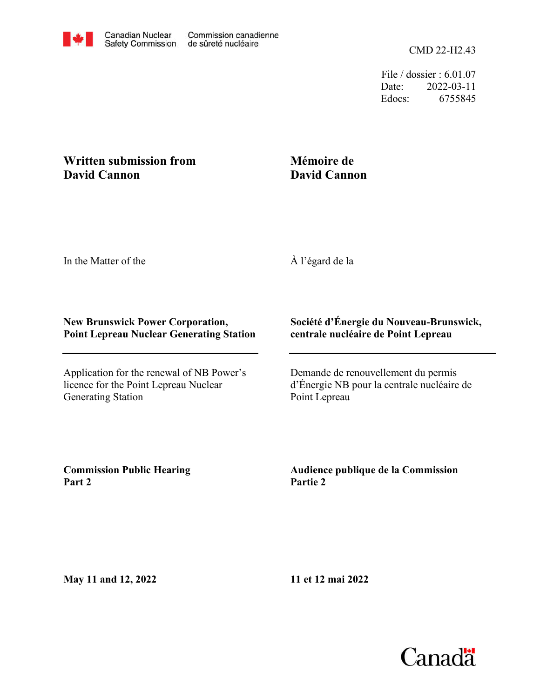

File / dossier : 6.01.07 Date: 2022-03-11 Edocs: 6755845

## **Written submission from David Cannon**

## **Mémoire de David Cannon**

In the Matter of the

À l'égard de la

## **New Brunswick Power Corporation, Point Lepreau Nuclear Generating Station**

Application for the renewal of NB Power's licence for the Point Lepreau Nuclear Generating Station

## **Société d'Énergie du Nouveau-Brunswick, centrale nucléaire de Point Lepreau**

Demande de renouvellement du permis d'Énergie NB pour la centrale nucléaire de Point Lepreau

**Commission Public Hearing Part 2**

**Audience publique de la Commission Partie 2**

**May 11 and 12, 2022**

**11 et 12 mai 2022**